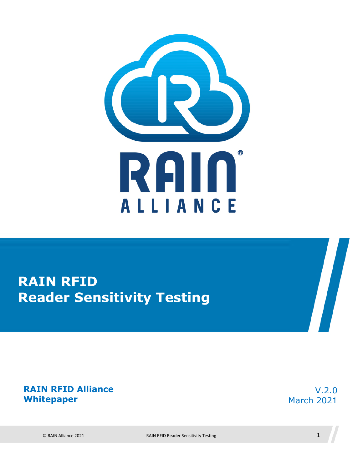

## **RAIN RFID Reader Sensitivity Testing**

#### **RAIN RFID Alliance Whitepaper**

V.2.0 March 2021

 $\sqrt{2}$ 

© RAIN Alliance 2021 RAIN RFID Reader Sensitivity Testing 1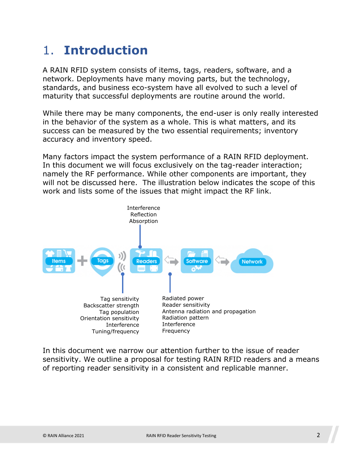### 1. **Introduction**

A RAIN RFID system consists of items, tags, readers, software, and a network. Deployments have many moving parts, but the technology, standards, and business eco-system have all evolved to such a level of maturity that successful deployments are routine around the world.

While there may be many components, the end-user is only really interested in the behavior of the system as a whole. This is what matters, and its success can be measured by the two essential requirements; inventory accuracy and inventory speed.

Many factors impact the system performance of a RAIN RFID deployment. In this document we will focus exclusively on the tag-reader interaction; namely the RF performance. While other components are important, they will not be discussed here. The illustration below indicates the scope of this work and lists some of the issues that might impact the RF link.



In this document we narrow our attention further to the issue of reader sensitivity. We outline a proposal for testing RAIN RFID readers and a means of reporting reader sensitivity in a consistent and replicable manner.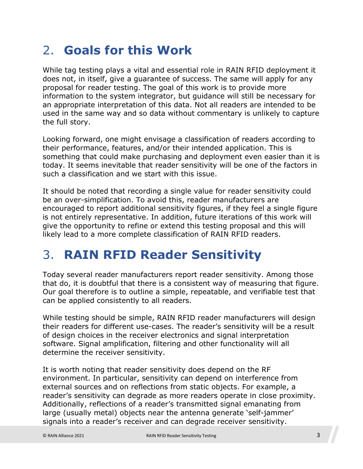### 2. **Goals for this Work**

While tag testing plays a vital and essential role in RAIN RFID deployment it does not, in itself, give a guarantee of success. The same will apply for any proposal for reader testing. The goal of this work is to provide more information to the system integrator, but guidance will still be necessary for an appropriate interpretation of this data. Not all readers are intended to be used in the same way and so data without commentary is unlikely to capture the full story.

Looking forward, one might envisage a classification of readers according to their performance, features, and/or their intended application. This is something that could make purchasing and deployment even easier than it is today. It seems inevitable that reader sensitivity will be one of the factors in such a classification and we start with this issue.

It should be noted that recording a single value for reader sensitivity could be an over-simplification. To avoid this, reader manufacturers are encouraged to report additional sensitivity figures, if they feel a single figure is not entirely representative. In addition, future iterations of this work will give the opportunity to refine or extend this testing proposal and this will likely lead to a more complete classification of RAIN RFID readers.

### 3. **RAIN RFID Reader Sensitivity**

Today several reader manufacturers report reader sensitivity. Among those that do, it is doubtful that there is a consistent way of measuring that figure. Our goal therefore is to outline a simple, repeatable, and verifiable test that can be applied consistently to all readers.

While testing should be simple, RAIN RFID reader manufacturers will design their readers for different use-cases. The reader's sensitivity will be a result of design choices in the receiver electronics and signal interpretation software. Signal amplification, filtering and other functionality will all determine the receiver sensitivity.

It is worth noting that reader sensitivity does depend on the RF environment. In particular, sensitivity can depend on interference from external sources and on reflections from static objects. For example, a reader's sensitivity can degrade as more readers operate in close proximity. Additionally, reflections of a reader's transmitted signal emanating from large (usually metal) objects near the antenna generate 'self-jammer' signals into a reader's receiver and can degrade receiver sensitivity.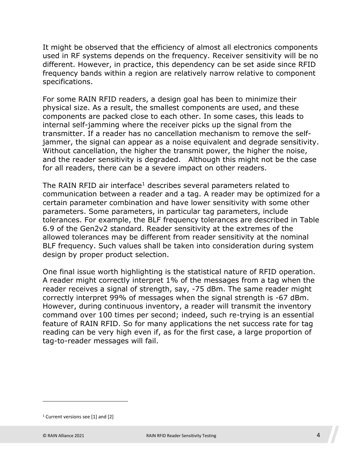It might be observed that the efficiency of almost all electronics components used in RF systems depends on the frequency. Receiver sensitivity will be no different. However, in practice, this dependency can be set aside since RFID frequency bands within a region are relatively narrow relative to component specifications.

For some RAIN RFID readers, a design goal has been to minimize their physical size. As a result, the smallest components are used, and these components are packed close to each other. In some cases, this leads to internal self-jamming where the receiver picks up the signal from the transmitter. If a reader has no cancellation mechanism to remove the selfjammer, the signal can appear as a noise equivalent and degrade sensitivity. Without cancellation, the higher the transmit power, the higher the noise, and the reader sensitivity is degraded. Although this might not be the case for all readers, there can be a severe impact on other readers.

The RAIN RFID air interface<sup>[1](#page-3-0)</sup> describes several parameters related to communication between a reader and a tag. A reader may be optimized for a certain parameter combination and have lower sensitivity with some other parameters. Some parameters, in particular tag parameters, include tolerances. For example, the BLF frequency tolerances are described in Table 6.9 of the Gen2v2 standard. Reader sensitivity at the extremes of the allowed tolerances may be different from reader sensitivity at the nominal BLF frequency. Such values shall be taken into consideration during system design by proper product selection.

One final issue worth highlighting is the statistical nature of RFID operation. A reader might correctly interpret 1% of the messages from a tag when the reader receives a signal of strength, say, -75 dBm. The same reader might correctly interpret 99% of messages when the signal strength is -67 dBm. However, during continuous inventory, a reader will transmit the inventory command over 100 times per second; indeed, such re-trying is an essential feature of RAIN RFID. So for many applications the net success rate for tag reading can be very high even if, as for the first case, a large proportion of tag-to-reader messages will fail.

<span id="page-3-0"></span><sup>1</sup> Current versions see [1] and [2]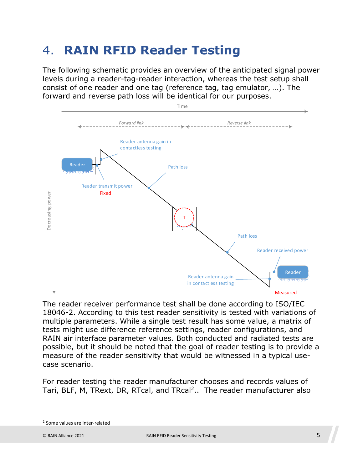### 4. **RAIN RFID Reader Testing**

The following schematic provides an overview of the anticipated signal power levels during a reader-tag-reader interaction, whereas the test setup shall consist of one reader and one tag (reference tag, tag emulator, …). The forward and reverse path loss will be identical for our purposes.



The reader receiver performance test shall be done according to ISO/IEC 18046-2. According to this test reader sensitivity is tested with variations of multiple parameters. While a single test result has some value, a matrix of tests might use difference reference settings, reader configurations, and RAIN air interface parameter values. Both conducted and radiated tests are possible, but it should be noted that the goal of reader testing is to provide a measure of the reader sensitivity that would be witnessed in a typical usecase scenario.

For reader testing the reader manufacturer chooses and records values of Tari, BLF, M, TRext, DR, RTcal, and TRcal<sup>[2](#page-4-0)</sup>.. The reader manufacturer also

<span id="page-4-0"></span><sup>&</sup>lt;sup>2</sup> Some values are inter-related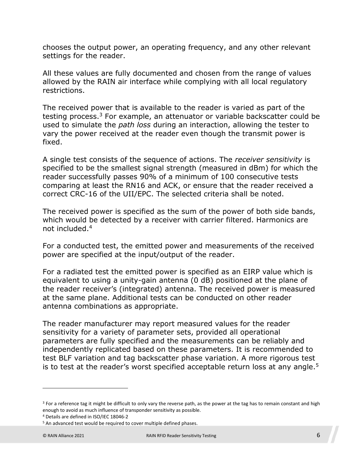chooses the output power, an operating frequency, and any other relevant settings for the reader.

All these values are fully documented and chosen from the range of values allowed by the RAIN air interface while complying with all local regulatory restrictions.

The received power that is available to the reader is varied as part of the testing process.<sup>[3](#page-5-0)</sup> For example, an attenuator or variable backscatter could be used to simulate the *path loss* during an interaction, allowing the tester to vary the power received at the reader even though the transmit power is fixed.

A single test consists of the sequence of actions. The *receiver sensitivity* is specified to be the smallest signal strength (measured in dBm) for which the reader successfully passes 90% of a minimum of 100 consecutive tests comparing at least the RN16 and ACK, or ensure that the reader received a correct CRC-16 of the UII/EPC. The selected criteria shall be noted.

The received power is specified as the sum of the power of both side bands, which would be detected by a receiver with carrier filtered. Harmonics are not included.[4](#page-5-1)

For a conducted test, the emitted power and measurements of the received power are specified at the input/output of the reader.

For a radiated test the emitted power is specified as an EIRP value which is equivalent to using a unity-gain antenna (0 dB) positioned at the plane of the reader receiver's (integrated) antenna. The received power is measured at the same plane. Additional tests can be conducted on other reader antenna combinations as appropriate.

The reader manufacturer may report measured values for the reader sensitivity for a variety of parameter sets, provided all operational parameters are fully specified and the measurements can be reliably and independently replicated based on these parameters. It is recommended to test BLF variation and tag backscatter phase variation. A more rigorous test is to test at the reader's worst specified acceptable return loss at any angle.<sup>[5](#page-5-2)</sup>

<span id="page-5-0"></span><sup>&</sup>lt;sup>3</sup> For a reference tag it might be difficult to only vary the reverse path, as the power at the tag has to remain constant and high enough to avoid as much influence of transponder sensitivity as possible.

<span id="page-5-2"></span><span id="page-5-1"></span><sup>4</sup> Details are defined in ISO/IEC 18046-2

<sup>&</sup>lt;sup>5</sup> An advanced test would be required to cover multiple defined phases.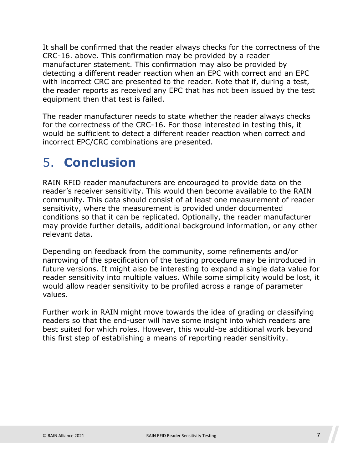It shall be confirmed that the reader always checks for the correctness of the CRC-16. above. This confirmation may be provided by a reader manufacturer statement. This confirmation may also be provided by detecting a different reader reaction when an EPC with correct and an EPC with incorrect CRC are presented to the reader. Note that if, during a test, the reader reports as received any EPC that has not been issued by the test equipment then that test is failed.

The reader manufacturer needs to state whether the reader always checks for the correctness of the CRC-16. For those interested in testing this, it would be sufficient to detect a different reader reaction when correct and incorrect EPC/CRC combinations are presented.

#### 5. **Conclusion**

RAIN RFID reader manufacturers are encouraged to provide data on the reader's receiver sensitivity. This would then become available to the RAIN community. This data should consist of at least one measurement of reader sensitivity, where the measurement is provided under documented conditions so that it can be replicated. Optionally, the reader manufacturer may provide further details, additional background information, or any other relevant data.

Depending on feedback from the community, some refinements and/or narrowing of the specification of the testing procedure may be introduced in future versions. It might also be interesting to expand a single data value for reader sensitivity into multiple values. While some simplicity would be lost, it would allow reader sensitivity to be profiled across a range of parameter values.

Further work in RAIN might move towards the idea of grading or classifying readers so that the end-user will have some insight into which readers are best suited for which roles. However, this would-be additional work beyond this first step of establishing a means of reporting reader sensitivity.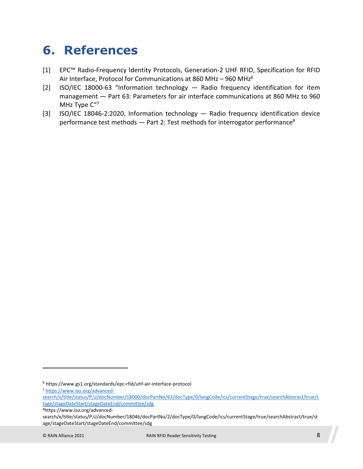#### **6. References**

- [1] EPC™ Radio-Frequency Identity Protocols, Generation-2 UHF RFID, Specification for RFID Air Interface, Protocol for Communications at 8[6](#page-7-0)0 MHz - 960 MHz<sup>6</sup>
- [2] ISO/IEC 18000-63 "Information technology Radio frequency identification for item management — Part 63: Parameters for air interface communications at 860 MHz to 960 MHz Type C"[7](#page-7-1)
- [3] [ISO/IEC 18046-2:2020](https://www.iso.org/contents/data/standard/07/43/74387.html), Information technology Radio frequency identification device performance test methods  $-$  Part 2: Test methods for interrogator performance<sup>[8](#page-7-2)</sup>

<span id="page-7-1"></span><span id="page-7-0"></span><sup>6</sup> https://www.gs1.org/standards/epc-rfid/uhf-air-interface-protocol

<sup>7</sup> https://www.iso.org/advanced-

search/x/title/status/P,U/docNumber/18000/docPartNo/63/docType/0/langCode/ics/currentStage/true/searchAbstract/true/s tage/stageDateStart/stageDateEnd/committee/sdg

<span id="page-7-2"></span><sup>8</sup>https://www.iso.org/advanced-

search/x/title/status/P,U/docNumber/18046/docPartNo/2/docType/0/langCode/ics/currentStage/true/searchAbstract/true/st age/stageDateStart/stageDateEnd/committee/sdg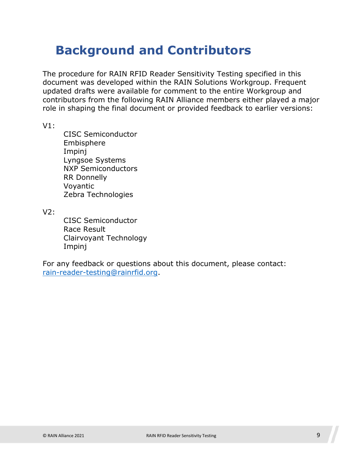### **Background and Contributors**

The procedure for RAIN RFID Reader Sensitivity Testing specified in this document was developed within the RAIN Solutions Workgroup. Frequent updated drafts were available for comment to the entire Workgroup and contributors from the following RAIN Alliance members either played a major role in shaping the final document or provided feedback to earlier versions:

V1:

CISC Semiconductor Embisphere Impinj Lyngsoe Systems NXP Semiconductors RR Donnelly Voyantic Zebra Technologies

V2:

CISC Semiconductor Race Result Clairvoyant Technology Impinj

For any feedback or questions about this document, please contact: [rain-reader-testing@rainrfid.org](mailto:rain-reader-testing@rainrfid.org).